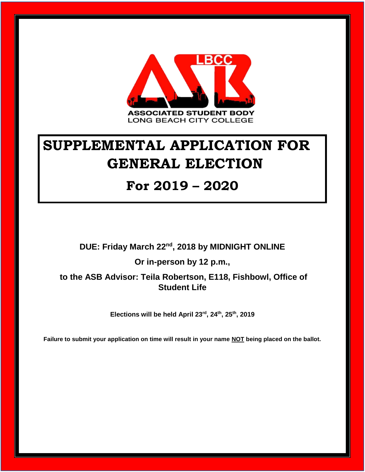

# **SUPPLEMENTAL APPLICATION FOR GENERAL ELECTION**

#### **For 2019 – 2020**

**DUE: Friday March 22nd, 2018 by MIDNIGHT ONLINE**

**Or in-person by 12 p.m.,**

**to the ASB Advisor: Teila Robertson, E118, Fishbowl, Office of Student Life**

**Elections will be held April 23rd, 24th, 25th, 2019**

**Failure to submit your application on time will result in your name NOT being placed on the ballot.**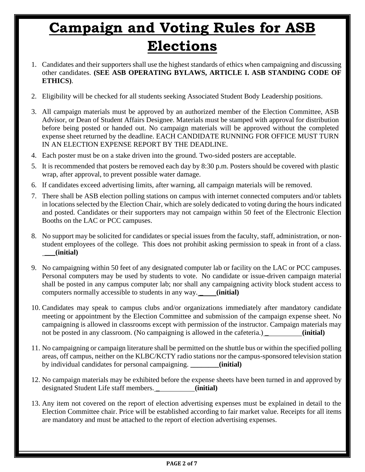# **Campaign and Voting Rules for ASB Elections**

- 1. Candidates and their supporters shall use the highest standards of ethics when campaigning and discussing other candidates. **(SEE ASB OPERATING BYLAWS, ARTICLE I. ASB STANDING CODE OF ETHICS)**.
- 2. Eligibility will be checked for all students seeking Associated Student Body Leadership positions.
- 3. All campaign materials must be approved by an authorized member of the Election Committee, ASB Advisor, or Dean of Student Affairs Designee. Materials must be stamped with approval for distribution before being posted or handed out. No campaign materials will be approved without the completed expense sheet returned by the deadline. EACH CANDIDATE RUNNING FOR OFFICE MUST TURN IN AN ELECTION EXPENSE REPORT BY THE DEADLINE.
- 4. Each poster must be on a stake driven into the ground. Two-sided posters are acceptable.
- 5. It is recommended that posters be removed each day by 8:30 p.m. Posters should be covered with plastic wrap, after approval, to prevent possible water damage.
- 6. If candidates exceed advertising limits, after warning, all campaign materials will be removed.
- 7. There shall be ASB election polling stations on campus with internet connected computers and/or tablets in locations selected by the Election Chair, which are solely dedicated to voting during the hours indicated and posted. Candidates or their supporters may not campaign within 50 feet of the Electronic Election Booths on the LAC or PCC campuses.
- 8. No support may be solicited for candidates or special issues from the faculty, staff, administration, or nonstudent employees of the college. This does not prohibit asking permission to speak in front of a class. \_\_\_**(initial)**
- 9. No campaigning within 50 feet of any designated computer lab or facility on the LAC or PCC campuses. Personal computers may be used by students to vote. No candidate or issue-driven campaign material shall be posted in any campus computer lab; nor shall any campaigning activity block student access to computers normally accessible to students in any way. \_ **(initial)**
- 10. Candidates may speak to campus clubs and/or organizations immediately after mandatory candidate meeting or appointment by the Election Committee and submission of the campaign expense sheet. No campaigning is allowed in classrooms except with permission of the instructor. Campaign materials may not be posted in any classroom. (No campaigning is allowed in the cafeteria.) **(initial)**
- 11. No campaigning or campaign literature shall be permitted on the shuttle bus or within the specified polling areas, off campus, neither on the KLBC/KCTY radio stations nor the campus-sponsored television station by individual candidates for personal campaigning. **\_\_\_\_\_\_\_\_(initial)**
- 12. No campaign materials may be exhibited before the expense sheets have been turned in and approved by designated Student Life staff members. \_ **(initial)**
- 13. Any item not covered on the report of election advertising expenses must be explained in detail to the Election Committee chair. Price will be established according to fair market value. Receipts for all items are mandatory and must be attached to the report of election advertising expenses.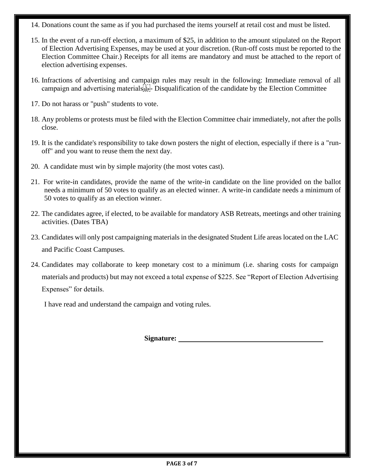- 14. Donations count the same as if you had purchased the items yourself at retail cost and must be listed.
- 15. In the event of a run-off election, a maximum of \$25, in addition to the amount stipulated on the Report of Election Advertising Expenses, may be used at your discretion. (Run-off costs must be reported to the Election Committee Chair.) Receipts for all items are mandatory and must be attached to the report of election advertising expenses.
- 16. Infractions of advertising and campaign rules may result in the following: Immediate removal of all campaign and advertising materials  $\sum_{i=1}^{n}$  Disqualification of the candidate by the Election Committee
- 17. Do not harass or "push" students to vote.
- 18. Any problems or protests must be filed with the Election Committee chair immediately, not after the polls close.
- 19. It is the candidate's responsibility to take down posters the night of election, especially if there is a "runoff" and you want to reuse them the next day.
- 20. A candidate must win by simple majority (the most votes cast).
- 21. For write-in candidates, provide the name of the write-in candidate on the line provided on the ballot needs a minimum of 50 votes to qualify as an elected winner. A write-in candidate needs a minimum of 50 votes to qualify as an election winner.
- 22. The candidates agree, if elected, to be available for mandatory ASB Retreats, meetings and other training activities. (Dates TBA)
- 23. Candidates will only post campaigning materials in the designated Student Life areas located on the LAC and Pacific Coast Campuses.
- 24. Candidates may collaborate to keep monetary cost to a minimum (i.e. sharing costs for campaign materials and products) but may not exceed a total expense of \$225. See "Report of Election Advertising Expenses" for details.

I have read and understand the campaign and voting rules.

 **Signature:**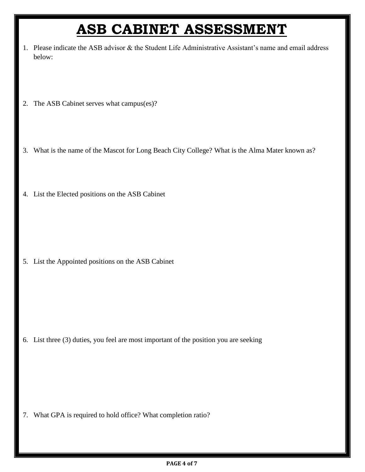## **ASB CABINET ASSESSMENT**

- 1. Please indicate the ASB advisor & the Student Life Administrative Assistant's name and email address below:
- 2. The ASB Cabinet serves what campus(es)?
- 3. What is the name of the Mascot for Long Beach City College? What is the Alma Mater known as?
- 4. List the Elected positions on the ASB Cabinet

5. List the Appointed positions on the ASB Cabinet

6. List three (3) duties, you feel are most important of the position you are seeking

7. What GPA is required to hold office? What completion ratio?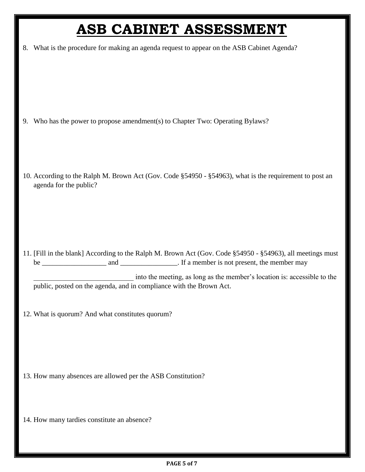## **ASB CABINET ASSESSMENT**

8. What is the procedure for making an agenda request to appear on the ASB Cabinet Agenda?

- 9. Who has the power to propose amendment(s) to Chapter Two: Operating Bylaws?
- 10. According to the Ralph M. Brown Act (Gov. Code §54950 §54963), what is the requirement to post an agenda for the public?

11. [Fill in the blank] According to the Ralph M. Brown Act (Gov. Code §54950 - §54963), all meetings must be and and  $\frac{1}{\sqrt{1-\frac{1}{\sqrt{1-\frac{1}{\sqrt{1-\frac{1}{\sqrt{1-\frac{1}{\sqrt{1-\frac{1}{\sqrt{1-\frac{1}{\sqrt{1-\frac{1}{\sqrt{1-\frac{1}{\sqrt{1-\frac{1}{\sqrt{1-\frac{1}{\sqrt{1-\frac{1}{\sqrt{1-\frac{1}{\sqrt{1-\frac{1}{\sqrt{1-\frac{1}{\sqrt{1-\frac{1}{\sqrt{1-\frac{1}{\sqrt{1-\frac{1}{\sqrt{1-\frac{1}{\sqrt{1-\frac{1}{\sqrt{1-\frac{1}{\sqrt{1-\frac{1}{\sqrt{1-\frac{1}{\sqrt{1-\frac{$ 

into the meeting, as long as the member's location is: accessible to the public, posted on the agenda, and in compliance with the Brown Act.

12. What is quorum? And what constitutes quorum?

13. How many absences are allowed per the ASB Constitution?

14. How many tardies constitute an absence?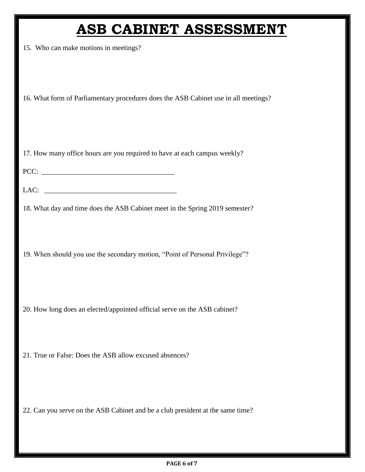#### **ASB CABINET ASSESSMENT**

15. Who can make motions in meetings?

16. What form of Parliamentary procedures does the ASB Cabinet use in all meetings?

17. How many office hours are you required to have at each campus weekly?

PCC: \_\_\_\_\_\_\_\_\_\_\_\_\_\_\_\_\_\_\_\_\_\_\_\_\_\_\_\_\_\_\_\_\_\_\_\_\_

LAC: \_\_\_\_\_\_\_\_\_\_\_\_\_\_\_\_\_\_\_\_\_\_\_\_\_\_\_\_\_\_\_\_\_\_\_\_\_

18. What day and time does the ASB Cabinet meet in the Spring 2019 semester?

19. When should you use the secondary motion, "Point of Personal Privilege"?

20. How long does an elected/appointed official serve on the ASB cabinet?

21. True or False: Does the ASB allow excused absences?

22. Can you serve on the ASB Cabinet and be a club president at the same time?